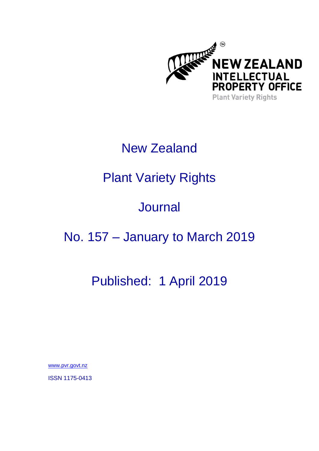

# New Zealand

# Plant Variety Rights

# **Journal**

## No. 157 – January to March 2019

## Published: 1 April 2019

[www.pvr.govt.nz](http://www.pvr.govt.nz/)

ISSN 1175-0413